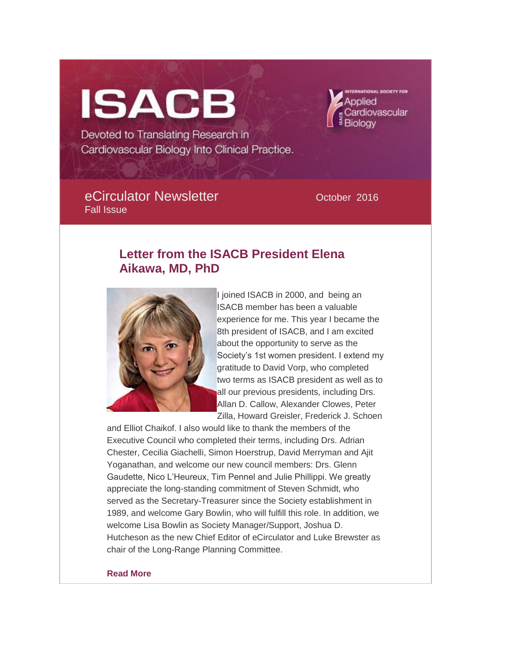# **ISACB**

Devoted to Translating Research in Cardiovascular Biology Into Clinical Practice.

## eCirculator Newsletter **Calculation** October 2016 Fall Issue

ardiovascular

# **Letter from the ISACB President Elena Aikawa, MD, PhD**



I joined ISACB in 2000, and being an ISACB member has been a valuable experience for me. This year I became the 8th president of ISACB, and I am excited about the opportunity to serve as the Society's 1st women president. I extend my gratitude to David Vorp, who completed two terms as ISACB president as well as to all our previous presidents, including Drs. Allan D. Callow, Alexander Clowes, Peter Zilla, Howard Greisler, Frederick J. Schoen

and Elliot Chaikof. I also would like to thank the members of the Executive Council who completed their terms, including Drs. Adrian Chester, Cecilia Giachelli, Simon Hoerstrup, David Merryman and Ajit Yoganathan, and welcome our new council members: Drs. Glenn Gaudette, Nico L'Heureux, Tim Pennel and Julie Phillippi. We greatly appreciate the long-standing commitment of Steven Schmidt, who served as the Secretary-Treasurer since the Society establishment in 1989, and welcome Gary Bowlin, who will fulfill this role. In addition, we welcome Lisa Bowlin as Society Manager/Support, Joshua D. Hutcheson as the new Chief Editor of eCirculator and Luke Brewster as chair of the Long-Range Planning Committee.

#### **[Read More](http://isacb.org/letter-from-the-isacb-president-1016)**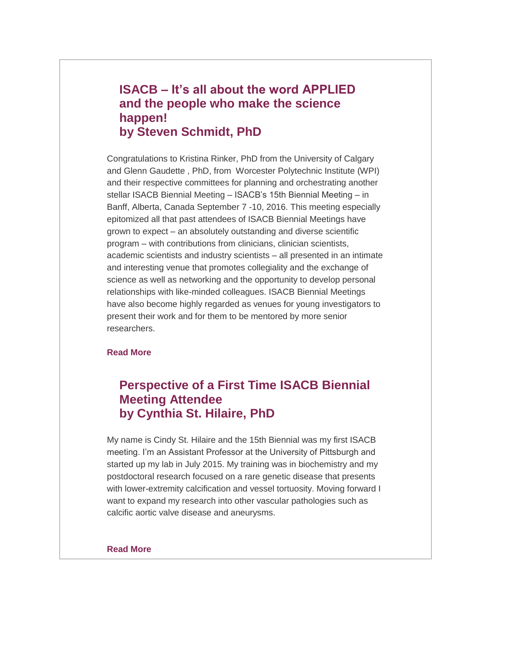## **ISACB – It's all about the word APPLIED and the people who make the science happen! by Steven Schmidt, PhD**

Congratulations to Kristina Rinker, PhD from the University of Calgary and Glenn Gaudette , PhD, from Worcester Polytechnic Institute (WPI) and their respective committees for planning and orchestrating another stellar ISACB Biennial Meeting – ISACB's 15th Biennial Meeting – in Banff, Alberta, Canada September 7 -10, 2016. This meeting especially epitomized all that past attendees of ISACB Biennial Meetings have grown to expect – an absolutely outstanding and diverse scientific program – with contributions from clinicians, clinician scientists, academic scientists and industry scientists – all presented in an intimate and interesting venue that promotes collegiality and the exchange of science as well as networking and the opportunity to develop personal relationships with like-minded colleagues. ISACB Biennial Meetings have also become highly regarded as venues for young investigators to present their work and for them to be mentored by more senior researchers.

#### **[Read More](http://isacb.org/isacb-%E2%80%93-it%E2%80%99s-all-about-the-word-applied-and-the-people-who-make-the-science-happen-by-steven-schmidt)**

# **Perspective of a First Time ISACB Biennial Meeting Attendee by Cynthia St. Hilaire, PhD**

My name is Cindy St. Hilaire and the 15th Biennial was my first ISACB meeting. I'm an Assistant Professor at the University of Pittsburgh and started up my lab in July 2015. My training was in biochemistry and my postdoctoral research focused on a rare genetic disease that presents with lower-extremity calcification and vessel tortuosity. Moving forward I want to expand my research into other vascular pathologies such as calcific aortic valve disease and aneurysms.

#### **[Read More](http://isacb.org/perspective-of-a-first-time-isacb-biennial-meeting-attendee)**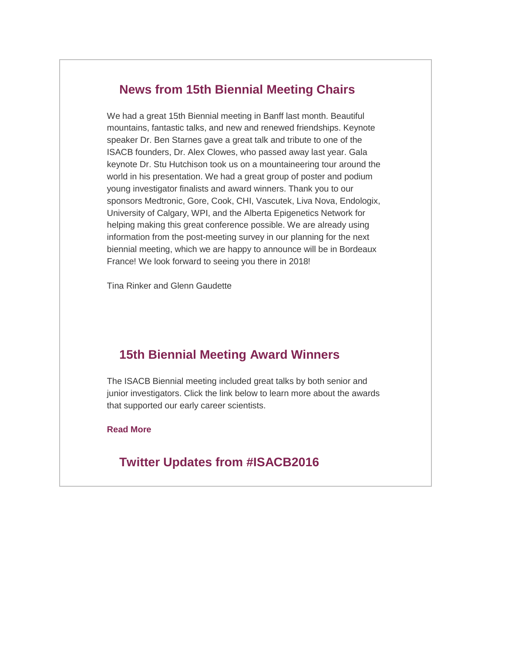## **News from 15th Biennial Meeting Chairs**

We had a great 15th Biennial meeting in Banff last month. Beautiful mountains, fantastic talks, and new and renewed friendships. Keynote speaker Dr. Ben Starnes gave a great talk and tribute to one of the ISACB founders, Dr. Alex Clowes, who passed away last year. Gala keynote Dr. Stu Hutchison took us on a mountaineering tour around the world in his presentation. We had a great group of poster and podium young investigator finalists and award winners. Thank you to our sponsors Medtronic, Gore, Cook, CHI, Vascutek, Liva Nova, Endologix, University of Calgary, WPI, and the Alberta Epigenetics Network for helping making this great conference possible. We are already using information from the post-meeting survey in our planning for the next biennial meeting, which we are happy to announce will be in Bordeaux France! We look forward to seeing you there in 2018!

Tina Rinker and Glenn Gaudette

## **15th Biennial Meeting Award Winners**

The ISACB Biennial meeting included great talks by both senior and junior investigators. Click the link below to learn more about the awards that supported our early career scientists.

**[Read More](http://isacb.org/15th-biennial-meeting-award-winners)**

## **Twitter Updates from #ISACB2016**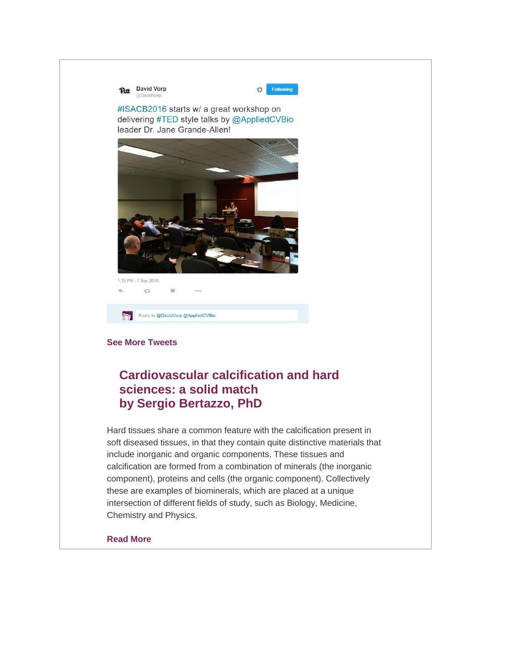**Putt** David Vorp @DavidVorp

Following

ň

#ISACB2016 starts w/ a great workshop on delivering #TED style talks by @AppliedCVBio leader Dr. Jane Grande-Allen!



4% **ST** Reply to @DavidVorp @AppliedCVBio

#### **[See More Tweets](http://isacb.org/twitter-updates)**

# **Cardiovascular calcification and hard sciences: a solid match by Sergio Bertazzo, PhD**

Hard tissues share a common feature with the calcification present in soft diseased tissues, in that they contain quite distinctive materials that include inorganic and organic components. These tissues and calcification are formed from a combination of minerals (the inorganic component), proteins and cells (the organic component). Collectively these are examples of biominerals, which are placed at a unique intersection of different fields of study, such as Biology, Medicine, Chemistry and Physics.

#### **[Read More](http://isacb.org/scientific-profile-by-sergio-bertazzo)**